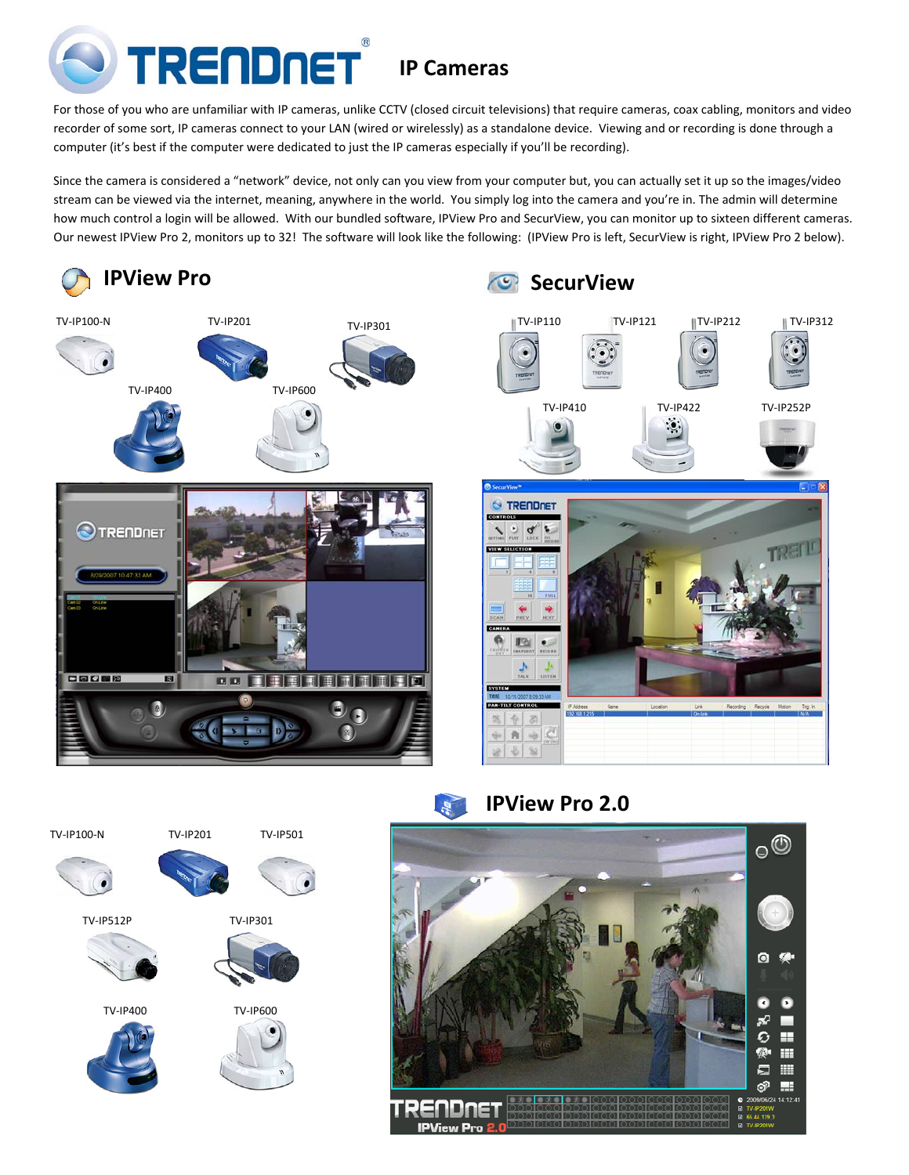

For those of you who are unfamiliar with IP cameras, unlike CCTV (closed circuit televisions) that require cameras, coax cabling, monitors and video recorder of some sort, IP cameras connect to your LAN (wired or wirelessly) as a standalone device. Viewing and or recording is done through a computer (it's best if the computer were dedicated to just the IP cameras especially if you'll be recording).

Since the camera is considered a "network" device, not only can you view from your computer but, you can actually set it up so the images/video stream can be viewed via the internet, meaning, anywhere in the world. You simply log into the camera and you're in. The admin will determine how much control a login will be allowed. With our bundled software, IPView Pro and SecurView, you can monitor up to sixteen different cameras. Our newest IPView Pro 2, monitors up to 32! The software will look like the following: (IPView Pro is left, SecurView is right, IPView Pro 2 below).



**IPView Pro 2.0**  $\frac{d}{dt}$ 



TV‐IP100‐N TV‐IP201

TV‐IP512P

TV‐IP400

TV‐IP501











TV‐IP600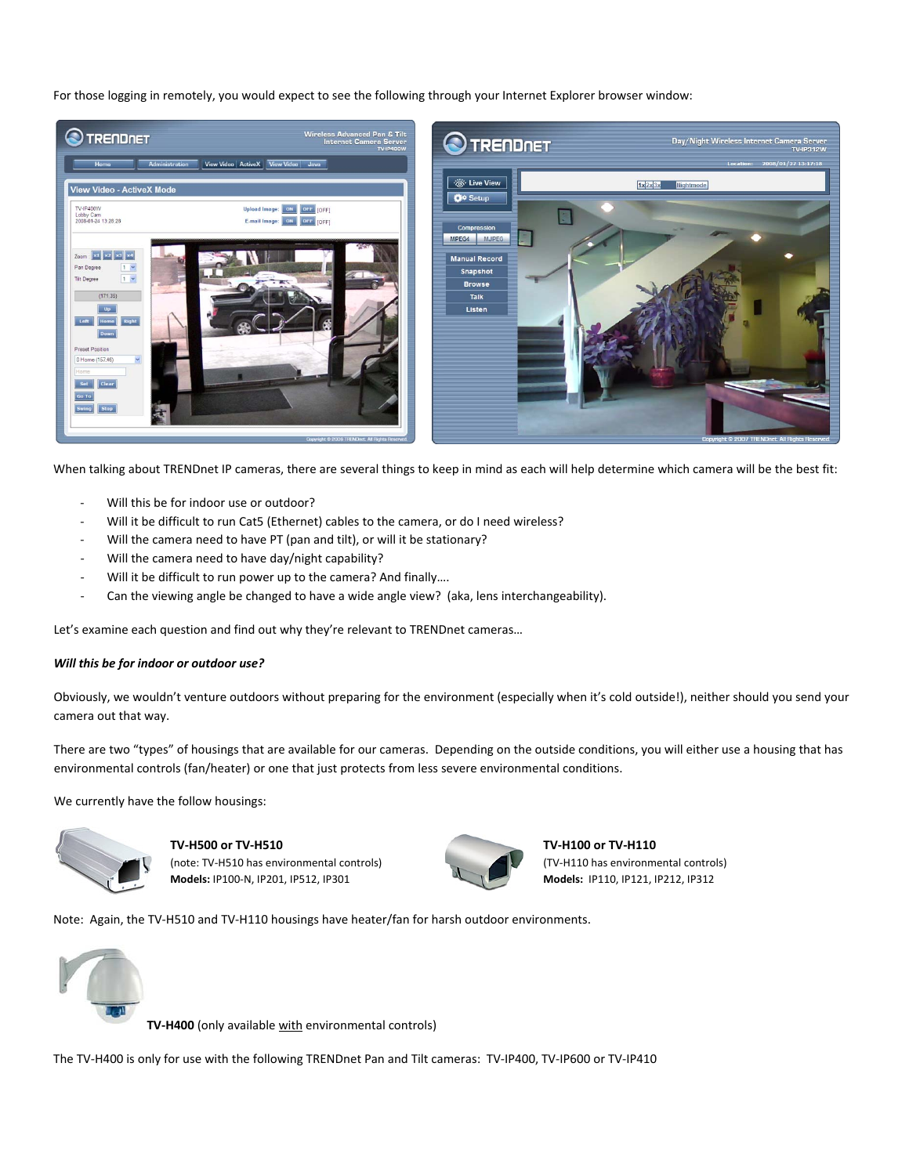For those logging in remotely, you would expect to see the following through your Internet Explorer browser window:



When talking about TRENDnet IP cameras, there are several things to keep in mind as each will help determine which camera will be the best fit:

- Will this be for indoor use or outdoor?
- Will it be difficult to run Cat5 (Ethernet) cables to the camera, or do I need wireless?
- Will the camera need to have PT (pan and tilt), or will it be stationary?
- ‐ Will the camera need to have day/night capability?
- Will it be difficult to run power up to the camera? And finally....
- ‐ Can the viewing angle be changed to have a wide angle view? (aka, lens interchangeability).

Let's examine each question and find out why they're relevant to TRENDnet cameras…

# *Will this be for indoor or outdoor use?*

Obviously, we wouldn't venture outdoors without preparing for the environment (especially when it's cold outside!), neither should you send your camera out that way.

There are two "types" of housings that are available for our cameras. Depending on the outside conditions, you will either use a housing that has environmental controls (fan/heater) or one that just protects from less severe environmental conditions.

We currently have the follow housings:



**TV‐H500 or TV‐H510** (note: TV‐H510 has environmental controls) **Models:** IP100‐N, IP201, IP512, IP301

**TV‐H100 or TV‐H110** (TV‐H110 has environmental controls) **Models:** IP110, IP121, IP212, IP312

Note: Again, the TV‐H510 and TV‐H110 housings have heater/fan for harsh outdoor environments.



**TV‐H400** (only available with environmental controls)

The TV‐H400 is only for use with the following TRENDnet Pan and Tilt cameras: TV‐IP400, TV‐IP600 or TV‐IP410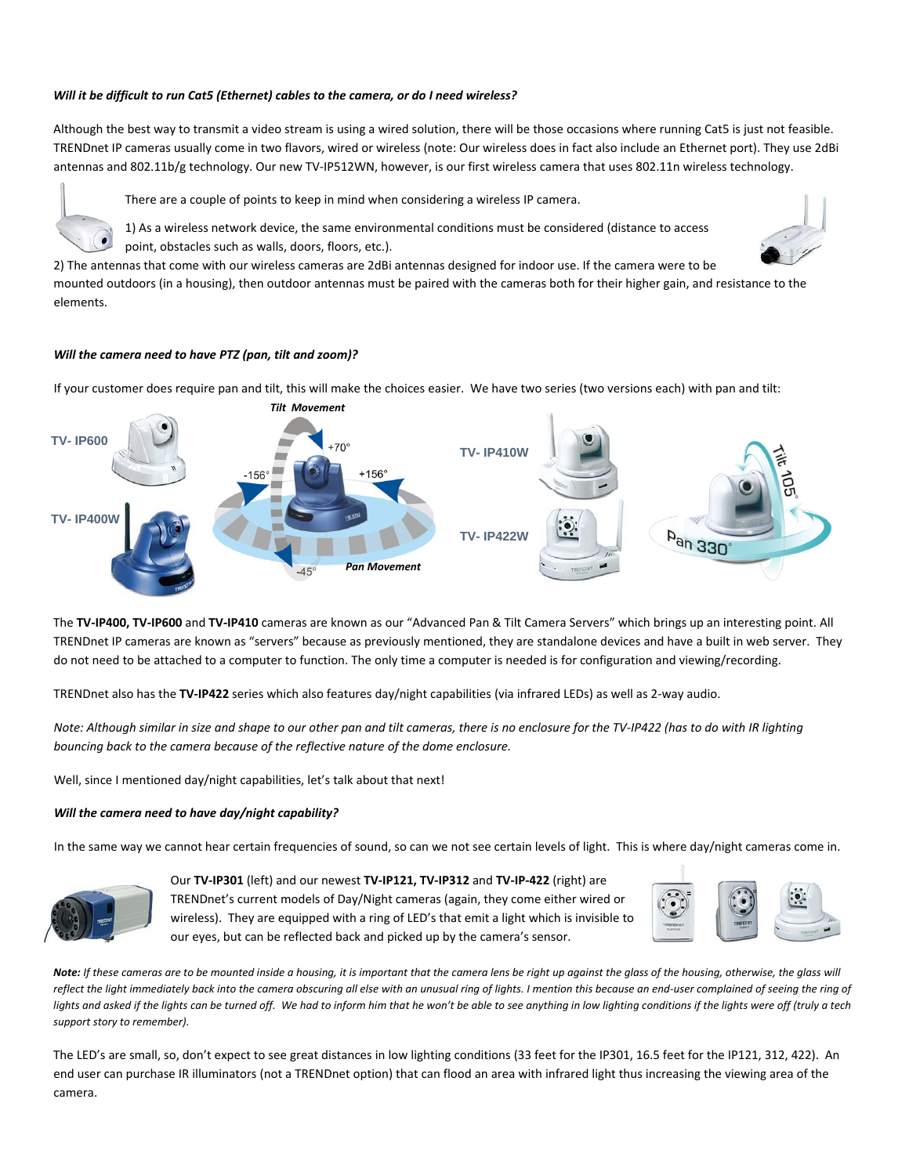## *Will it be difficult to run Cat5 (Ethernet) cables to the camera, or do I need wireless?*

Although the best way to transmit a video stream is using a wired solution, there will be those occasions where running Cat5 is just not feasible. TRENDnet IP cameras usually come in two flavors, wired or wireless (note: Our wireless does in fact also include an Ethernet port). They use 2dBi antennas and 802.11b/g technology. Our new TV-IP512WN, however, is our first wireless camera that uses 802.11n wireless technology.

There are a couple of points to keep in mind when considering a wireless IP camera.





2) The antennas that come with our wireless cameras are 2dBi antennas designed for indoor use. If the camera were to be mounted outdoors (in a housing), then outdoor antennas must be paired with the cameras both for their higher gain, and resistance to the elements.

### *Will the camera need to have PTZ (pan, tilt and zoom)?*

If your customer does require pan and tilt, this will make the choices easier. We have two series (two versions each) with pan and tilt:



The **TV‐IP400, TV‐IP600** and **TV‐IP410** cameras are known as our "Advanced Pan & Tilt Camera Servers" which brings up an interesting point. All TRENDnet IP cameras are known as "servers" because as previously mentioned, they are standalone devices and have a built in web server. They do not need to be attached to a computer to function. The only time a computer is needed is for configuration and viewing/recording.

TRENDnet also has the **TV‐IP422** series which also features day/night capabilities (via infrared LEDs) as well as 2‐way audio.

Note: Although similar in size and shape to our other pan and tilt cameras, there is no enclosure for the TV-IP422 (has to do with IR lighting *bouncing back to the camera because of the reflective nature of the dome enclosure.*

Well, since I mentioned day/night capabilities, let's talk about that next!

# *Will the camera need to have day/night capability?*

In the same way we cannot hear certain frequencies of sound, so can we not see certain levels of light. This is where day/night cameras come in.



Our **TV‐IP301** (left) and our newest **TV‐IP121, TV‐IP312** and **TV‐IP‐422** (right) are TRENDnet's current models of Day/Night cameras (again, they come either wired or wireless). They are equipped with a ring of LED's that emit a light which is invisible to our eyes, but can be reflected back and picked up by the camera's sensor.



Note: If these cameras are to be mounted inside a housing, it is important that the camera lens be right up against the glass of the housing, otherwise, the glass will reflect the light immediately back into the camera obscuring all else with an unusual ring of lights. I mention this because an end-user complained of seeing the ring of lights and asked if the lights can be turned off. We had to inform him that he won't be able to see anything in low lighting conditions if the lights were off (truly a tech *support story to remember).*

The LED's are small, so, don't expect to see great distances in low lighting conditions (33 feet for the IP301, 16.5 feet for the IP121, 312, 422). An end user can purchase IR illuminators (not a TRENDnet option) that can flood an area with infrared light thus increasing the viewing area of the camera.